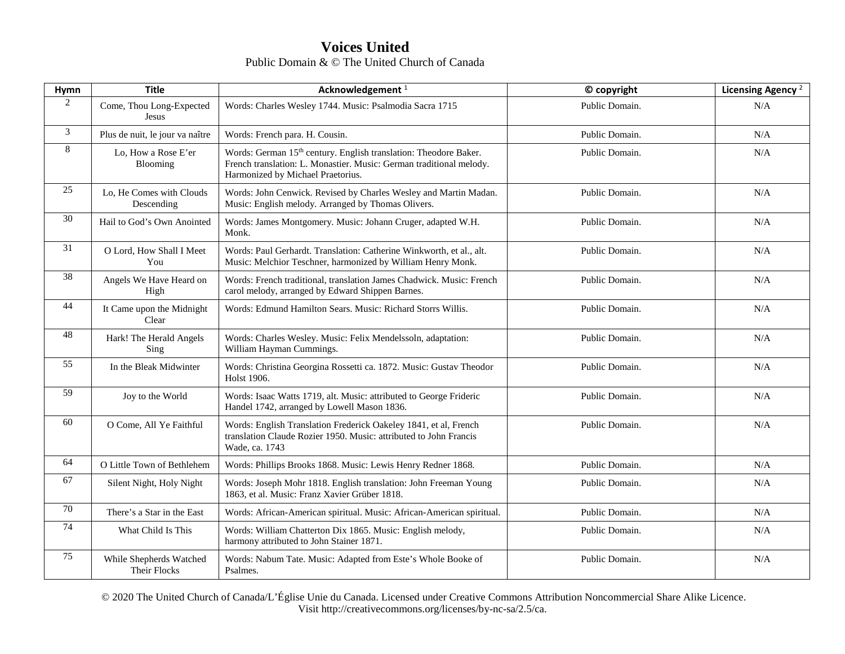| Hymn           | <b>Title</b>                            | Acknowledgement <sup>1</sup>                                                                                                                                                             | © copyright    | Licensing Agency <sup>2</sup> |
|----------------|-----------------------------------------|------------------------------------------------------------------------------------------------------------------------------------------------------------------------------------------|----------------|-------------------------------|
| $\overline{2}$ | Come, Thou Long-Expected<br>Jesus       | Words: Charles Wesley 1744. Music: Psalmodia Sacra 1715                                                                                                                                  | Public Domain. | N/A                           |
| 3              | Plus de nuit, le jour va naître         | Words: French para. H. Cousin.                                                                                                                                                           | Public Domain. | N/A                           |
| $\,8\,$        | Lo, How a Rose E'er<br>Blooming         | Words: German 15 <sup>th</sup> century. English translation: Theodore Baker.<br>French translation: L. Monastier. Music: German traditional melody.<br>Harmonized by Michael Praetorius. | Public Domain. | N/A                           |
| 25             | Lo, He Comes with Clouds<br>Descending  | Words: John Cenwick. Revised by Charles Wesley and Martin Madan.<br>Music: English melody. Arranged by Thomas Olivers.                                                                   | Public Domain. | N/A                           |
| 30             | Hail to God's Own Anointed              | Words: James Montgomery. Music: Johann Cruger, adapted W.H.<br>Monk.                                                                                                                     | Public Domain. | N/A                           |
| 31             | O Lord, How Shall I Meet<br>You         | Words: Paul Gerhardt. Translation: Catherine Winkworth, et al., alt.<br>Music: Melchior Teschner, harmonized by William Henry Monk.                                                      | Public Domain. | N/A                           |
| 38             | Angels We Have Heard on<br>High         | Words: French traditional, translation James Chadwick. Music: French<br>carol melody, arranged by Edward Shippen Barnes.                                                                 | Public Domain. | N/A                           |
| 44             | It Came upon the Midnight<br>Clear      | Words: Edmund Hamilton Sears. Music: Richard Storrs Willis.                                                                                                                              | Public Domain. | N/A                           |
| 48             | Hark! The Herald Angels<br>Sing         | Words: Charles Wesley. Music: Felix Mendelssoln, adaptation:<br>William Hayman Cummings.                                                                                                 | Public Domain. | N/A                           |
| 55             | In the Bleak Midwinter                  | Words: Christina Georgina Rossetti ca. 1872. Music: Gustav Theodor<br>Holst 1906.                                                                                                        | Public Domain. | N/A                           |
| 59             | Joy to the World                        | Words: Isaac Watts 1719, alt. Music: attributed to George Frideric<br>Handel 1742, arranged by Lowell Mason 1836.                                                                        | Public Domain. | N/A                           |
| 60             | O Come, All Ye Faithful                 | Words: English Translation Frederick Oakeley 1841, et al, French<br>translation Claude Rozier 1950. Music: attributed to John Francis<br>Wade, ca. 1743                                  | Public Domain. | N/A                           |
| 64             | O Little Town of Bethlehem              | Words: Phillips Brooks 1868. Music: Lewis Henry Redner 1868.                                                                                                                             | Public Domain. | N/A                           |
| 67             | Silent Night, Holy Night                | Words: Joseph Mohr 1818. English translation: John Freeman Young<br>1863, et al. Music: Franz Xavier Grüber 1818.                                                                        | Public Domain. | N/A                           |
| 70             | There's a Star in the East              | Words: African-American spiritual. Music: African-American spiritual.                                                                                                                    | Public Domain. | N/A                           |
| 74             | What Child Is This                      | Words: William Chatterton Dix 1865. Music: English melody,<br>harmony attributed to John Stainer 1871.                                                                                   | Public Domain. | N/A                           |
| 75             | While Shepherds Watched<br>Their Flocks | Words: Nabum Tate. Music: Adapted from Este's Whole Booke of<br>Psalmes.                                                                                                                 | Public Domain. | N/A                           |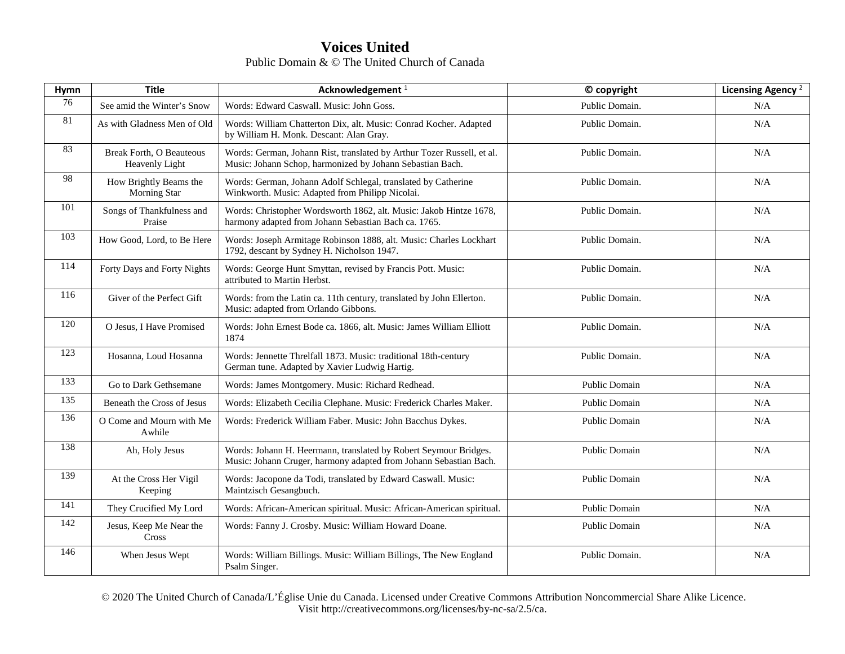| Hymn | <b>Title</b>                                      | Acknowledgement <sup>1</sup>                                                                                                          | © copyright          | Licensing Agency <sup>2</sup> |
|------|---------------------------------------------------|---------------------------------------------------------------------------------------------------------------------------------------|----------------------|-------------------------------|
| 76   | See amid the Winter's Snow                        | Words: Edward Caswall. Music: John Goss.                                                                                              | Public Domain.       | N/A                           |
| 81   | As with Gladness Men of Old                       | Words: William Chatterton Dix, alt. Music: Conrad Kocher. Adapted<br>by William H. Monk. Descant: Alan Gray.                          | Public Domain.       | N/A                           |
| 83   | <b>Break Forth, O Beauteous</b><br>Heavenly Light | Words: German, Johann Rist, translated by Arthur Tozer Russell, et al.<br>Music: Johann Schop, harmonized by Johann Sebastian Bach.   | Public Domain.       | N/A                           |
| 98   | How Brightly Beams the<br>Morning Star            | Words: German, Johann Adolf Schlegal, translated by Catherine<br>Winkworth. Music: Adapted from Philipp Nicolai.                      | Public Domain.       | N/A                           |
| 101  | Songs of Thankfulness and<br>Praise               | Words: Christopher Wordsworth 1862, alt. Music: Jakob Hintze 1678,<br>harmony adapted from Johann Sebastian Bach ca. 1765.            | Public Domain.       | N/A                           |
| 103  | How Good, Lord, to Be Here                        | Words: Joseph Armitage Robinson 1888, alt. Music: Charles Lockhart<br>1792, descant by Sydney H. Nicholson 1947.                      | Public Domain.       | N/A                           |
| 114  | Forty Days and Forty Nights                       | Words: George Hunt Smyttan, revised by Francis Pott. Music:<br>attributed to Martin Herbst.                                           | Public Domain.       | N/A                           |
| 116  | Giver of the Perfect Gift                         | Words: from the Latin ca. 11th century, translated by John Ellerton.<br>Music: adapted from Orlando Gibbons.                          | Public Domain.       | N/A                           |
| 120  | O Jesus, I Have Promised                          | Words: John Ernest Bode ca. 1866, alt. Music: James William Elliott<br>1874                                                           | Public Domain.       | N/A                           |
| 123  | Hosanna, Loud Hosanna                             | Words: Jennette Threlfall 1873. Music: traditional 18th-century<br>German tune. Adapted by Xavier Ludwig Hartig.                      | Public Domain.       | N/A                           |
| 133  | Go to Dark Gethsemane                             | Words: James Montgomery. Music: Richard Redhead.                                                                                      | Public Domain        | N/A                           |
| 135  | Beneath the Cross of Jesus                        | Words: Elizabeth Cecilia Clephane. Music: Frederick Charles Maker.                                                                    | <b>Public Domain</b> | N/A                           |
| 136  | O Come and Mourn with Me<br>Awhile                | Words: Frederick William Faber. Music: John Bacchus Dykes.                                                                            | Public Domain        | N/A                           |
| 138  | Ah, Holy Jesus                                    | Words: Johann H. Heermann, translated by Robert Seymour Bridges.<br>Music: Johann Cruger, harmony adapted from Johann Sebastian Bach. | Public Domain        | N/A                           |
| 139  | At the Cross Her Vigil<br>Keeping                 | Words: Jacopone da Todi, translated by Edward Caswall. Music:<br>Maintzisch Gesangbuch.                                               | Public Domain        | N/A                           |
| 141  | They Crucified My Lord                            | Words: African-American spiritual. Music: African-American spiritual.                                                                 | Public Domain        | N/A                           |
| 142  | Jesus, Keep Me Near the<br>Cross                  | Words: Fanny J. Crosby. Music: William Howard Doane.                                                                                  | Public Domain        | N/A                           |
| 146  | When Jesus Wept                                   | Words: William Billings. Music: William Billings, The New England<br>Psalm Singer.                                                    | Public Domain.       | N/A                           |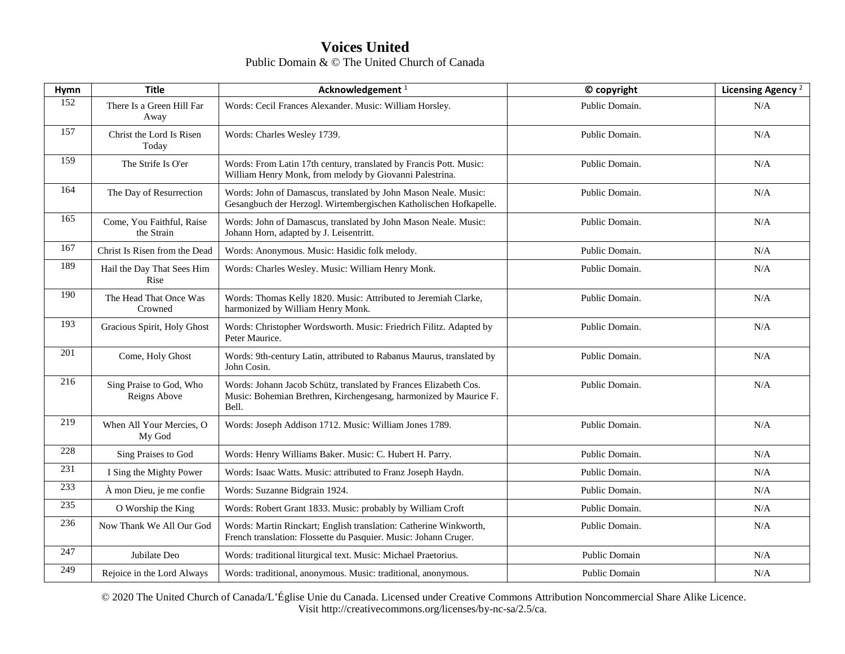| Hymn | <b>Title</b>                            | Acknowledgement <sup>1</sup>                                                                                                                   | © copyright          | Licensing Agency <sup>2</sup> |
|------|-----------------------------------------|------------------------------------------------------------------------------------------------------------------------------------------------|----------------------|-------------------------------|
| 152  | There Is a Green Hill Far<br>Away       | Words: Cecil Frances Alexander. Music: William Horsley.                                                                                        | Public Domain.       | N/A                           |
| 157  | Christ the Lord Is Risen<br>Today       | Words: Charles Wesley 1739.                                                                                                                    | Public Domain.       | N/A                           |
| 159  | The Strife Is O'er                      | Words: From Latin 17th century, translated by Francis Pott. Music:<br>William Henry Monk, from melody by Giovanni Palestrina.                  | Public Domain.       | N/A                           |
| 164  | The Day of Resurrection                 | Words: John of Damascus, translated by John Mason Neale. Music:<br>Gesangbuch der Herzogl. Wirtembergischen Katholischen Hofkapelle.           | Public Domain.       | N/A                           |
| 165  | Come, You Faithful, Raise<br>the Strain | Words: John of Damascus, translated by John Mason Neale. Music:<br>Johann Horn, adapted by J. Leisentritt.                                     | Public Domain.       | N/A                           |
| 167  | Christ Is Risen from the Dead           | Words: Anonymous. Music: Hasidic folk melody.                                                                                                  | Public Domain.       | N/A                           |
| 189  | Hail the Day That Sees Him<br>Rise      | Words: Charles Wesley. Music: William Henry Monk.                                                                                              | Public Domain.       | N/A                           |
| 190  | The Head That Once Was<br>Crowned       | Words: Thomas Kelly 1820. Music: Attributed to Jeremiah Clarke,<br>harmonized by William Henry Monk.                                           | Public Domain.       | N/A                           |
| 193  | Gracious Spirit, Holy Ghost             | Words: Christopher Wordsworth. Music: Friedrich Filitz. Adapted by<br>Peter Maurice.                                                           | Public Domain.       | N/A                           |
| 201  | Come, Holy Ghost                        | Words: 9th-century Latin, attributed to Rabanus Maurus, translated by<br>John Cosin.                                                           | Public Domain.       | N/A                           |
| 216  | Sing Praise to God, Who<br>Reigns Above | Words: Johann Jacob Schütz, translated by Frances Elizabeth Cos.<br>Music: Bohemian Brethren, Kirchengesang, harmonized by Maurice F.<br>Bell. | Public Domain.       | N/A                           |
| 219  | When All Your Mercies, O<br>My God      | Words: Joseph Addison 1712. Music: William Jones 1789.                                                                                         | Public Domain.       | N/A                           |
| 228  | Sing Praises to God                     | Words: Henry Williams Baker. Music: C. Hubert H. Parry.                                                                                        | Public Domain.       | N/A                           |
| 231  | I Sing the Mighty Power                 | Words: Isaac Watts. Music: attributed to Franz Joseph Haydn.                                                                                   | Public Domain.       | N/A                           |
| 233  | À mon Dieu, je me confie                | Words: Suzanne Bidgrain 1924.                                                                                                                  | Public Domain.       | N/A                           |
| 235  | O Worship the King                      | Words: Robert Grant 1833. Music: probably by William Croft                                                                                     | Public Domain.       | N/A                           |
| 236  | Now Thank We All Our God                | Words: Martin Rinckart; English translation: Catherine Winkworth,<br>French translation: Flossette du Pasquier. Music: Johann Cruger.          | Public Domain.       | N/A                           |
| 247  | Jubilate Deo                            | Words: traditional liturgical text. Music: Michael Praetorius.                                                                                 | <b>Public Domain</b> | N/A                           |
| 249  | Rejoice in the Lord Always              | Words: traditional, anonymous. Music: traditional, anonymous.                                                                                  | <b>Public Domain</b> | N/A                           |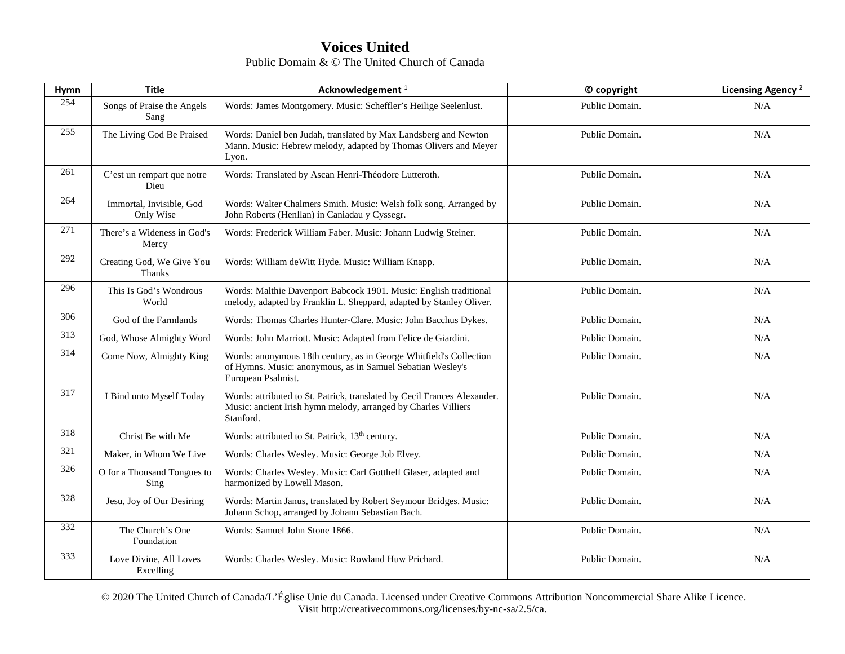| Hymn | <b>Title</b>                          | Acknowledgement <sup>1</sup>                                                                                                                            | © copyright    | Licensing Agency <sup>2</sup> |
|------|---------------------------------------|---------------------------------------------------------------------------------------------------------------------------------------------------------|----------------|-------------------------------|
| 254  | Songs of Praise the Angels<br>Sang    | Words: James Montgomery. Music: Scheffler's Heilige Seelenlust.                                                                                         | Public Domain. | N/A                           |
| 255  | The Living God Be Praised             | Words: Daniel ben Judah, translated by Max Landsberg and Newton<br>Mann. Music: Hebrew melody, adapted by Thomas Olivers and Meyer<br>Lyon.             | Public Domain. | N/A                           |
| 261  | C'est un rempart que notre<br>Dieu    | Words: Translated by Ascan Henri-Théodore Lutteroth.                                                                                                    | Public Domain. | N/A                           |
| 264  | Immortal, Invisible, God<br>Only Wise | Words: Walter Chalmers Smith. Music: Welsh folk song. Arranged by<br>John Roberts (Henllan) in Caniadau y Cyssegr.                                      | Public Domain. | N/A                           |
| 271  | There's a Wideness in God's<br>Mercy  | Words: Frederick William Faber. Music: Johann Ludwig Steiner.                                                                                           | Public Domain. | N/A                           |
| 292  | Creating God, We Give You<br>Thanks   | Words: William de Witt Hyde. Music: William Knapp.                                                                                                      | Public Domain. | N/A                           |
| 296  | This Is God's Wondrous<br>World       | Words: Malthie Davenport Babcock 1901. Music: English traditional<br>melody, adapted by Franklin L. Sheppard, adapted by Stanley Oliver.                | Public Domain. | N/A                           |
| 306  | God of the Farmlands                  | Words: Thomas Charles Hunter-Clare. Music: John Bacchus Dykes.                                                                                          | Public Domain. | N/A                           |
| 313  | God, Whose Almighty Word              | Words: John Marriott. Music: Adapted from Felice de Giardini.                                                                                           | Public Domain. | N/A                           |
| 314  | Come Now, Almighty King               | Words: anonymous 18th century, as in George Whitfield's Collection<br>of Hymns. Music: anonymous, as in Samuel Sebatian Wesley's<br>European Psalmist.  | Public Domain. | N/A                           |
| 317  | I Bind unto Myself Today              | Words: attributed to St. Patrick, translated by Cecil Frances Alexander.<br>Music: ancient Irish hymn melody, arranged by Charles Villiers<br>Stanford. | Public Domain. | N/A                           |
| 318  | Christ Be with Me                     | Words: attributed to St. Patrick, 13 <sup>th</sup> century.                                                                                             | Public Domain. | N/A                           |
| 321  | Maker, in Whom We Live                | Words: Charles Wesley. Music: George Job Elvey.                                                                                                         | Public Domain. | N/A                           |
| 326  | O for a Thousand Tongues to<br>Sing   | Words: Charles Wesley. Music: Carl Gotthelf Glaser, adapted and<br>harmonized by Lowell Mason.                                                          | Public Domain. | N/A                           |
| 328  | Jesu, Joy of Our Desiring             | Words: Martin Janus, translated by Robert Seymour Bridges. Music:<br>Johann Schop, arranged by Johann Sebastian Bach.                                   | Public Domain. | N/A                           |
| 332  | The Church's One<br>Foundation        | Words: Samuel John Stone 1866.                                                                                                                          | Public Domain. | N/A                           |
| 333  | Love Divine, All Loves<br>Excelling   | Words: Charles Wesley. Music: Rowland Huw Prichard.                                                                                                     | Public Domain. | N/A                           |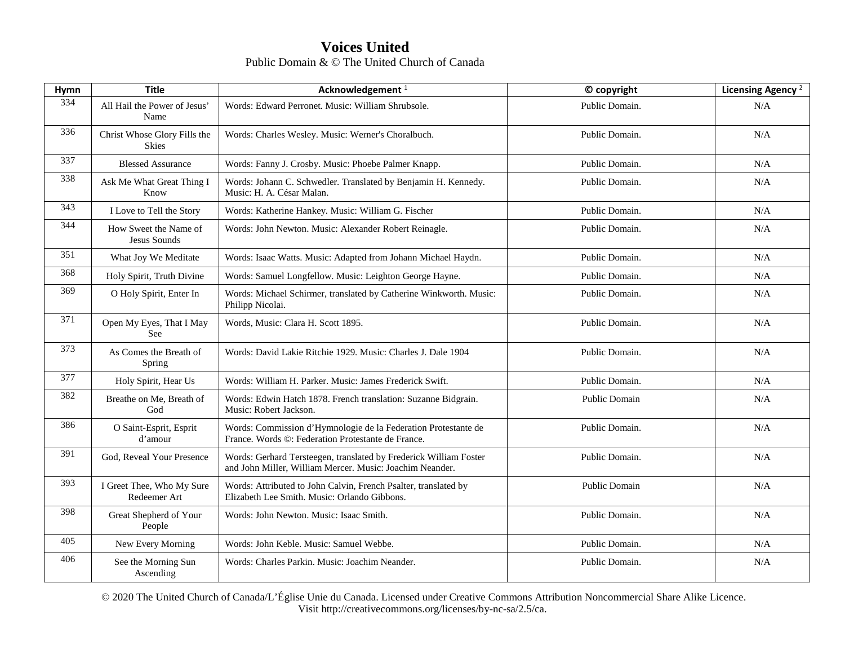| Hymn | <b>Title</b>                              | Acknowledgement <sup>1</sup>                                                                                                  | © copyright          | Licensing Agency <sup>2</sup> |
|------|-------------------------------------------|-------------------------------------------------------------------------------------------------------------------------------|----------------------|-------------------------------|
| 334  | All Hail the Power of Jesus'<br>Name      | Words: Edward Perronet. Music: William Shrubsole.                                                                             | Public Domain.       | N/A                           |
| 336  | Christ Whose Glory Fills the<br>Skies     | Words: Charles Wesley. Music: Werner's Choralbuch.                                                                            | Public Domain.       | N/A                           |
| 337  | <b>Blessed Assurance</b>                  | Words: Fanny J. Crosby. Music: Phoebe Palmer Knapp.                                                                           | Public Domain.       | N/A                           |
| 338  | Ask Me What Great Thing I<br>Know         | Words: Johann C. Schwedler. Translated by Benjamin H. Kennedy.<br>Music: H. A. César Malan.                                   | Public Domain.       | N/A                           |
| 343  | I Love to Tell the Story                  | Words: Katherine Hankey. Music: William G. Fischer                                                                            | Public Domain.       | N/A                           |
| 344  | How Sweet the Name of<br>Jesus Sounds     | Words: John Newton. Music: Alexander Robert Reinagle.                                                                         | Public Domain.       | N/A                           |
| 351  | What Joy We Meditate                      | Words: Isaac Watts. Music: Adapted from Johann Michael Haydn.                                                                 | Public Domain.       | N/A                           |
| 368  | Holy Spirit, Truth Divine                 | Words: Samuel Longfellow. Music: Leighton George Hayne.                                                                       | Public Domain.       | N/A                           |
| 369  | O Holy Spirit, Enter In                   | Words: Michael Schirmer, translated by Catherine Winkworth. Music:<br>Philipp Nicolai.                                        | Public Domain.       | N/A                           |
| 371  | Open My Eyes, That I May<br>See           | Words, Music: Clara H. Scott 1895.                                                                                            | Public Domain.       | N/A                           |
| 373  | As Comes the Breath of<br>Spring          | Words: David Lakie Ritchie 1929. Music: Charles J. Dale 1904                                                                  | Public Domain.       | N/A                           |
| 377  | Holy Spirit, Hear Us                      | Words: William H. Parker. Music: James Frederick Swift.                                                                       | Public Domain.       | N/A                           |
| 382  | Breathe on Me. Breath of<br>God           | Words: Edwin Hatch 1878. French translation: Suzanne Bidgrain.<br>Music: Robert Jackson.                                      | <b>Public Domain</b> | N/A                           |
| 386  | O Saint-Esprit, Esprit<br>d'amour         | Words: Commission d'Hymnologie de la Federation Protestante de<br>France. Words ©: Federation Protestante de France.          | Public Domain.       | N/A                           |
| 391  | God, Reveal Your Presence                 | Words: Gerhard Tersteegen, translated by Frederick William Foster<br>and John Miller, William Mercer. Music: Joachim Neander. | Public Domain.       | N/A                           |
| 393  | I Greet Thee, Who My Sure<br>Redeemer Art | Words: Attributed to John Calvin, French Psalter, translated by<br>Elizabeth Lee Smith. Music: Orlando Gibbons.               | Public Domain        | N/A                           |
| 398  | Great Shepherd of Your<br>People          | Words: John Newton. Music: Isaac Smith.                                                                                       | Public Domain.       | N/A                           |
| 405  | New Every Morning                         | Words: John Keble. Music: Samuel Webbe.                                                                                       | Public Domain.       | N/A                           |
| 406  | See the Morning Sun<br>Ascending          | Words: Charles Parkin. Music: Joachim Neander.                                                                                | Public Domain.       | N/A                           |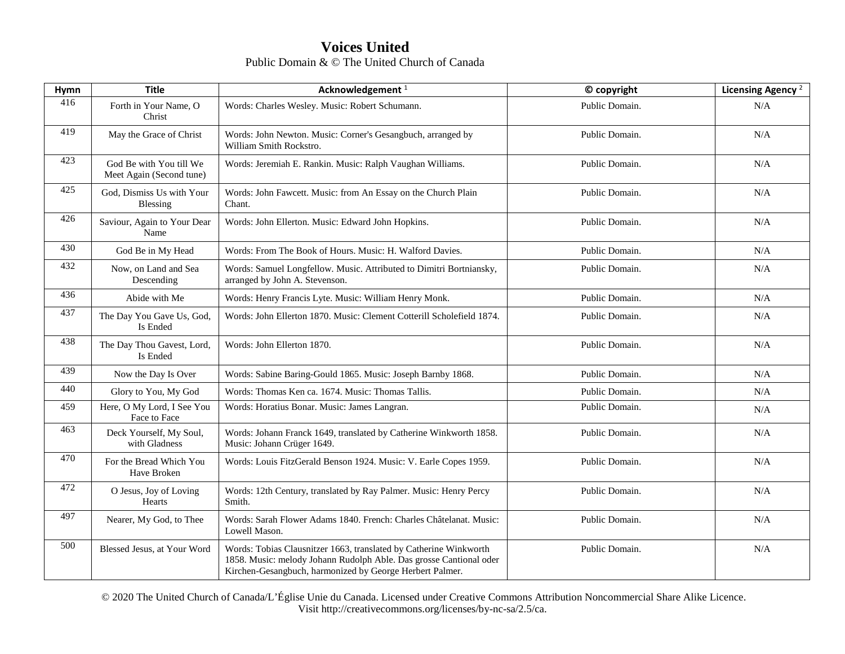| Hymn | <b>Title</b>                                        | Acknowledgement <sup>1</sup>                                                                                                                                                                        | © copyright    | Licensing Agency <sup>2</sup> |
|------|-----------------------------------------------------|-----------------------------------------------------------------------------------------------------------------------------------------------------------------------------------------------------|----------------|-------------------------------|
| 416  | Forth in Your Name, O<br>Christ                     | Words: Charles Wesley. Music: Robert Schumann.                                                                                                                                                      | Public Domain. | N/A                           |
| 419  | May the Grace of Christ                             | Words: John Newton. Music: Corner's Gesangbuch, arranged by<br>William Smith Rockstro.                                                                                                              | Public Domain. | N/A                           |
| 423  | God Be with You till We<br>Meet Again (Second tune) | Words: Jeremiah E. Rankin. Music: Ralph Vaughan Williams.                                                                                                                                           | Public Domain. | N/A                           |
| 425  | God, Dismiss Us with Your<br>Blessing               | Words: John Fawcett. Music: from An Essay on the Church Plain<br>Chant.                                                                                                                             | Public Domain. | N/A                           |
| 426  | Saviour, Again to Your Dear<br>Name                 | Words: John Ellerton. Music: Edward John Hopkins.                                                                                                                                                   | Public Domain. | N/A                           |
| 430  | God Be in My Head                                   | Words: From The Book of Hours. Music: H. Walford Davies.                                                                                                                                            | Public Domain. | N/A                           |
| 432  | Now, on Land and Sea<br>Descending                  | Words: Samuel Longfellow. Music. Attributed to Dimitri Bortniansky,<br>arranged by John A. Stevenson.                                                                                               | Public Domain. | N/A                           |
| 436  | Abide with Me                                       | Words: Henry Francis Lyte. Music: William Henry Monk.                                                                                                                                               | Public Domain. | N/A                           |
| 437  | The Day You Gave Us, God,<br>Is Ended               | Words: John Ellerton 1870. Music: Clement Cotterill Scholefield 1874.                                                                                                                               | Public Domain. | N/A                           |
| 438  | The Day Thou Gavest, Lord,<br>Is Ended              | Words: John Ellerton 1870.                                                                                                                                                                          | Public Domain. | N/A                           |
| 439  | Now the Day Is Over                                 | Words: Sabine Baring-Gould 1865. Music: Joseph Barnby 1868.                                                                                                                                         | Public Domain. | N/A                           |
| 440  | Glory to You, My God                                | Words: Thomas Ken ca. 1674. Music: Thomas Tallis.                                                                                                                                                   | Public Domain. | N/A                           |
| 459  | Here, O My Lord, I See You<br>Face to Face          | Words: Horatius Bonar. Music: James Langran.                                                                                                                                                        | Public Domain. | N/A                           |
| 463  | Deck Yourself, My Soul,<br>with Gladness            | Words: Johann Franck 1649, translated by Catherine Winkworth 1858.<br>Music: Johann Crüger 1649.                                                                                                    | Public Domain. | N/A                           |
| 470  | For the Bread Which You<br>Have Broken              | Words: Louis FitzGerald Benson 1924. Music: V. Earle Copes 1959.                                                                                                                                    | Public Domain. | N/A                           |
| 472  | O Jesus, Joy of Loving<br>Hearts                    | Words: 12th Century, translated by Ray Palmer. Music: Henry Percy<br>Smith.                                                                                                                         | Public Domain. | N/A                           |
| 497  | Nearer, My God, to Thee                             | Words: Sarah Flower Adams 1840. French: Charles Châtelanat. Music:<br>Lowell Mason.                                                                                                                 | Public Domain. | N/A                           |
| 500  | Blessed Jesus, at Your Word                         | Words: Tobias Clausnitzer 1663, translated by Catherine Winkworth<br>1858. Music: melody Johann Rudolph Able. Das grosse Cantional oder<br>Kirchen-Gesangbuch, harmonized by George Herbert Palmer. | Public Domain. | N/A                           |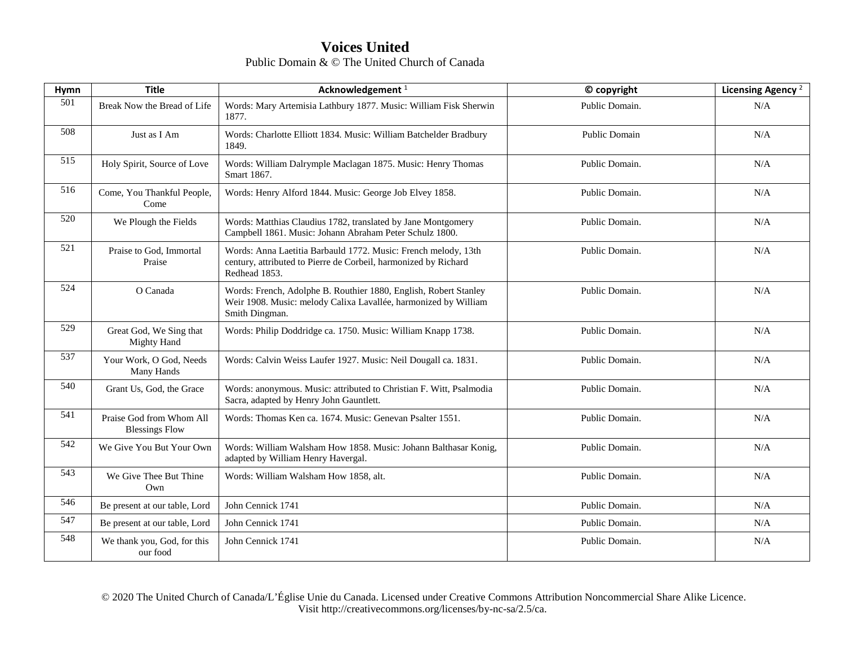| Hymn | <b>Title</b>                                      | Acknowledgement <sup>1</sup>                                                                                                                          | © copyright    | Licensing Agency <sup>2</sup> |
|------|---------------------------------------------------|-------------------------------------------------------------------------------------------------------------------------------------------------------|----------------|-------------------------------|
| 501  | Break Now the Bread of Life                       | Words: Mary Artemisia Lathbury 1877. Music: William Fisk Sherwin<br>1877.                                                                             | Public Domain. | N/A                           |
| 508  | Just as I Am                                      | Words: Charlotte Elliott 1834. Music: William Batchelder Bradbury<br>1849.                                                                            | Public Domain  | N/A                           |
| 515  | Holy Spirit, Source of Love                       | Words: William Dalrymple Maclagan 1875. Music: Henry Thomas<br>Smart 1867.                                                                            | Public Domain. | N/A                           |
| 516  | Come, You Thankful People,<br>Come                | Words: Henry Alford 1844. Music: George Job Elvey 1858.                                                                                               | Public Domain. | N/A                           |
| 520  | We Plough the Fields                              | Words: Matthias Claudius 1782, translated by Jane Montgomery<br>Campbell 1861. Music: Johann Abraham Peter Schulz 1800.                               | Public Domain. | N/A                           |
| 521  | Praise to God, Immortal<br>Praise                 | Words: Anna Laetitia Barbauld 1772. Music: French melody, 13th<br>century, attributed to Pierre de Corbeil, harmonized by Richard<br>Redhead 1853.    | Public Domain. | N/A                           |
| 524  | O Canada                                          | Words: French, Adolphe B. Routhier 1880, English, Robert Stanley<br>Weir 1908. Music: melody Calixa Lavallée, harmonized by William<br>Smith Dingman. | Public Domain. | N/A                           |
| 529  | Great God, We Sing that<br><b>Mighty Hand</b>     | Words: Philip Doddridge ca. 1750. Music: William Knapp 1738.                                                                                          | Public Domain. | N/A                           |
| 537  | Your Work, O God, Needs<br>Many Hands             | Words: Calvin Weiss Laufer 1927. Music: Neil Dougall ca. 1831.                                                                                        | Public Domain. | N/A                           |
| 540  | Grant Us, God, the Grace                          | Words: anonymous. Music: attributed to Christian F. Witt, Psalmodia<br>Sacra, adapted by Henry John Gauntlett.                                        | Public Domain. | N/A                           |
| 541  | Praise God from Whom All<br><b>Blessings Flow</b> | Words: Thomas Ken ca. 1674. Music: Genevan Psalter 1551.                                                                                              | Public Domain. | N/A                           |
| 542  | We Give You But Your Own                          | Words: William Walsham How 1858. Music: Johann Balthasar Konig,<br>adapted by William Henry Havergal.                                                 | Public Domain. | N/A                           |
| 543  | We Give Thee But Thine<br>Own                     | Words: William Walsham How 1858, alt.                                                                                                                 | Public Domain. | N/A                           |
| 546  | Be present at our table, Lord                     | John Cennick 1741                                                                                                                                     | Public Domain. | N/A                           |
| 547  | Be present at our table, Lord                     | John Cennick 1741                                                                                                                                     | Public Domain. | N/A                           |
| 548  | We thank you, God, for this<br>our food           | John Cennick 1741                                                                                                                                     | Public Domain. | N/A                           |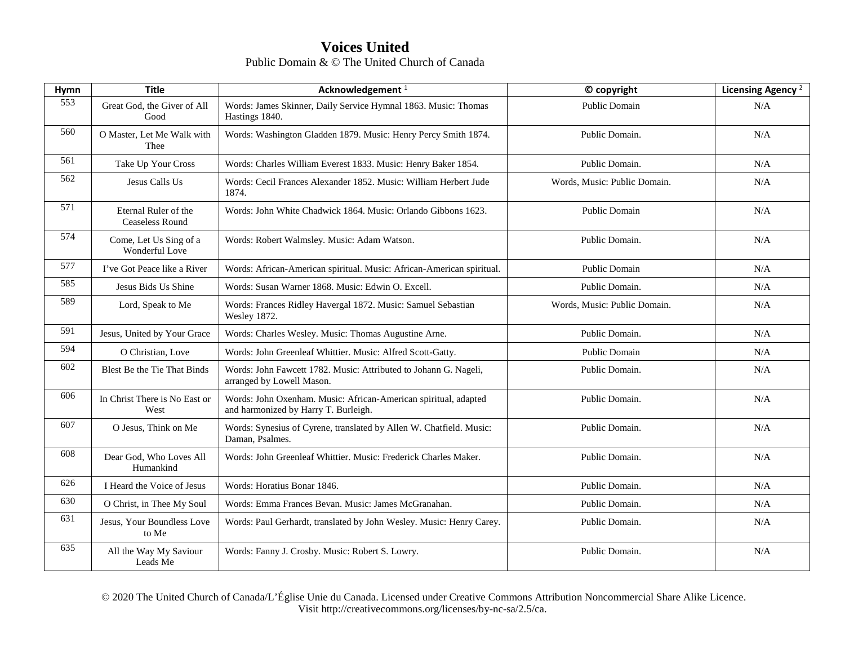| <b>Hymn</b> | <b>Title</b>                                   | Acknowledgement <sup>1</sup>                                                                            | © copyright                  | Licensing Agency <sup>2</sup> |
|-------------|------------------------------------------------|---------------------------------------------------------------------------------------------------------|------------------------------|-------------------------------|
| 553         | Great God, the Giver of All<br>Good            | Words: James Skinner, Daily Service Hymnal 1863. Music: Thomas<br>Hastings 1840.                        | Public Domain                | N/A                           |
| 560         | O Master, Let Me Walk with<br>Thee             | Words: Washington Gladden 1879. Music: Henry Percy Smith 1874.                                          | Public Domain.               | N/A                           |
| 561         | Take Up Your Cross                             | Words: Charles William Everest 1833. Music: Henry Baker 1854.                                           | Public Domain.               | N/A                           |
| 562         | Jesus Calls Us                                 | Words: Cecil Frances Alexander 1852. Music: William Herbert Jude<br>1874.                               | Words, Music: Public Domain. | N/A                           |
| 571         | Eternal Ruler of the<br><b>Ceaseless Round</b> | Words: John White Chadwick 1864. Music: Orlando Gibbons 1623.                                           | Public Domain                | N/A                           |
| 574         | Come, Let Us Sing of a<br>Wonderful Love       | Words: Robert Walmsley. Music: Adam Watson.                                                             | Public Domain.               | N/A                           |
| 577         | I've Got Peace like a River                    | Words: African-American spiritual. Music: African-American spiritual.                                   | Public Domain                | N/A                           |
| 585         | Jesus Bids Us Shine                            | Words: Susan Warner 1868. Music: Edwin O. Excell.                                                       | Public Domain.               | N/A                           |
| 589         | Lord, Speak to Me                              | Words: Frances Ridley Havergal 1872. Music: Samuel Sebastian<br><b>Wesley 1872.</b>                     | Words, Music: Public Domain. | N/A                           |
| 591         | Jesus, United by Your Grace                    | Words: Charles Wesley. Music: Thomas Augustine Arne.                                                    | Public Domain.               | N/A                           |
| 594         | O Christian, Love                              | Words: John Greenleaf Whittier. Music: Alfred Scott-Gatty.                                              | Public Domain                | N/A                           |
| 602         | Blest Be the Tie That Binds                    | Words: John Fawcett 1782. Music: Attributed to Johann G. Nageli,<br>arranged by Lowell Mason.           | Public Domain.               | N/A                           |
| 606         | In Christ There is No East or<br>West          | Words: John Oxenham. Music: African-American spiritual, adapted<br>and harmonized by Harry T. Burleigh. | Public Domain.               | N/A                           |
| 607         | O Jesus, Think on Me                           | Words: Synesius of Cyrene, translated by Allen W. Chatfield. Music:<br>Daman, Psalmes.                  | Public Domain.               | N/A                           |
| 608         | Dear God, Who Loves All<br>Humankind           | Words: John Greenleaf Whittier, Music: Frederick Charles Maker.                                         | Public Domain.               | N/A                           |
| 626         | I Heard the Voice of Jesus                     | Words: Horatius Bonar 1846.                                                                             | Public Domain.               | N/A                           |
| 630         | O Christ, in Thee My Soul                      | Words: Emma Frances Bevan. Music: James McGranahan.                                                     | Public Domain.               | N/A                           |
| 631         | Jesus, Your Boundless Love<br>to Me            | Words: Paul Gerhardt, translated by John Wesley. Music: Henry Carey.                                    | Public Domain.               | N/A                           |
| 635         | All the Way My Saviour<br>Leads Me             | Words: Fanny J. Crosby. Music: Robert S. Lowry.                                                         | Public Domain.               | N/A                           |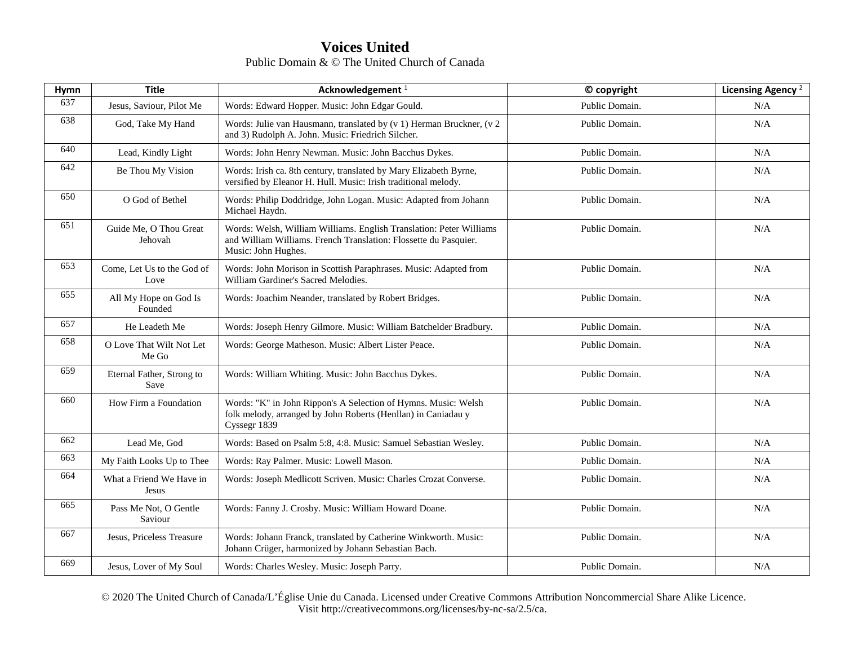| Hymn | <b>Title</b>                       | Acknowledgement <sup>1</sup>                                                                                                                                   | © copyright    | Licensing Agency <sup>2</sup> |
|------|------------------------------------|----------------------------------------------------------------------------------------------------------------------------------------------------------------|----------------|-------------------------------|
| 637  | Jesus, Saviour, Pilot Me           | Words: Edward Hopper. Music: John Edgar Gould.                                                                                                                 | Public Domain. | N/A                           |
| 638  | God, Take My Hand                  | Words: Julie van Hausmann, translated by (v 1) Herman Bruckner, (v 2<br>and 3) Rudolph A. John. Music: Friedrich Silcher.                                      | Public Domain. | N/A                           |
| 640  | Lead, Kindly Light                 | Words: John Henry Newman. Music: John Bacchus Dykes.                                                                                                           | Public Domain. | N/A                           |
| 642  | Be Thou My Vision                  | Words: Irish ca. 8th century, translated by Mary Elizabeth Byrne,<br>versified by Eleanor H. Hull. Music: Irish traditional melody.                            | Public Domain. | N/A                           |
| 650  | O God of Bethel                    | Words: Philip Doddridge, John Logan. Music: Adapted from Johann<br>Michael Haydn.                                                                              | Public Domain. | N/A                           |
| 651  | Guide Me, O Thou Great<br>Jehovah  | Words: Welsh, William Williams. English Translation: Peter Williams<br>and William Williams. French Translation: Flossette du Pasquier.<br>Music: John Hughes. | Public Domain. | N/A                           |
| 653  | Come. Let Us to the God of<br>Love | Words: John Morison in Scottish Paraphrases. Music: Adapted from<br>William Gardiner's Sacred Melodies.                                                        | Public Domain. | N/A                           |
| 655  | All My Hope on God Is<br>Founded   | Words: Joachim Neander, translated by Robert Bridges.                                                                                                          | Public Domain. | N/A                           |
| 657  | He Leadeth Me                      | Words: Joseph Henry Gilmore. Music: William Batchelder Bradbury.                                                                                               | Public Domain. | N/A                           |
| 658  | O Love That Wilt Not Let<br>Me Go  | Words: George Matheson. Music: Albert Lister Peace.                                                                                                            | Public Domain. | N/A                           |
| 659  | Eternal Father, Strong to<br>Save  | Words: William Whiting. Music: John Bacchus Dykes.                                                                                                             | Public Domain. | N/A                           |
| 660  | How Firm a Foundation              | Words: "K" in John Rippon's A Selection of Hymns. Music: Welsh<br>folk melody, arranged by John Roberts (Henllan) in Caniadau y<br>Cyssegr 1839                | Public Domain. | N/A                           |
| 662  | Lead Me, God                       | Words: Based on Psalm 5:8, 4:8. Music: Samuel Sebastian Wesley.                                                                                                | Public Domain. | N/A                           |
| 663  | My Faith Looks Up to Thee          | Words: Ray Palmer. Music: Lowell Mason.                                                                                                                        | Public Domain. | N/A                           |
| 664  | What a Friend We Have in<br>Jesus  | Words: Joseph Medlicott Scriven. Music: Charles Crozat Converse.                                                                                               | Public Domain. | N/A                           |
| 665  | Pass Me Not, O Gentle<br>Saviour   | Words: Fanny J. Crosby. Music: William Howard Doane.                                                                                                           | Public Domain. | N/A                           |
| 667  | Jesus, Priceless Treasure          | Words: Johann Franck, translated by Catherine Winkworth. Music:<br>Johann Crüger, harmonized by Johann Sebastian Bach.                                         | Public Domain. | N/A                           |
| 669  | Jesus, Lover of My Soul            | Words: Charles Wesley. Music: Joseph Parry.                                                                                                                    | Public Domain. | N/A                           |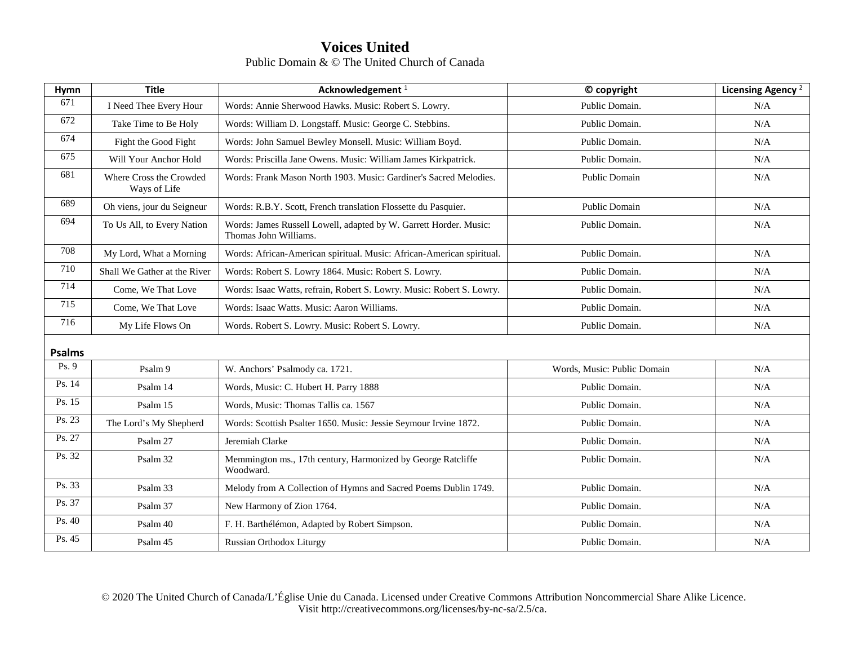| Hymn          | <b>Title</b>                            | Acknowledgement <sup>1</sup>                                                               | © copyright                 | Licensing Agency <sup>2</sup> |
|---------------|-----------------------------------------|--------------------------------------------------------------------------------------------|-----------------------------|-------------------------------|
| 671           | I Need Thee Every Hour                  | Words: Annie Sherwood Hawks. Music: Robert S. Lowry.                                       | Public Domain.              | N/A                           |
| 672           | Take Time to Be Holy                    | Words: William D. Longstaff. Music: George C. Stebbins.                                    | Public Domain.              | N/A                           |
| 674           | Fight the Good Fight                    | Words: John Samuel Bewley Monsell. Music: William Boyd.                                    | Public Domain.              | N/A                           |
| 675           | Will Your Anchor Hold                   | Words: Priscilla Jane Owens. Music: William James Kirkpatrick.                             | Public Domain.              | N/A                           |
| 681           | Where Cross the Crowded<br>Ways of Life | Words: Frank Mason North 1903. Music: Gardiner's Sacred Melodies.                          | Public Domain               | N/A                           |
| 689           | Oh viens, jour du Seigneur              | Words: R.B.Y. Scott, French translation Flossette du Pasquier.                             | Public Domain               | N/A                           |
| 694           | To Us All, to Every Nation              | Words: James Russell Lowell, adapted by W. Garrett Horder. Music:<br>Thomas John Williams. | Public Domain.              | N/A                           |
| 708           | My Lord, What a Morning                 | Words: African-American spiritual. Music: African-American spiritual.                      | Public Domain.              | N/A                           |
| 710           | Shall We Gather at the River            | Words: Robert S. Lowry 1864. Music: Robert S. Lowry.                                       | Public Domain.              | N/A                           |
| 714           | Come, We That Love                      | Words: Isaac Watts, refrain, Robert S. Lowry. Music: Robert S. Lowry.                      | Public Domain.              | N/A                           |
| 715           | Come, We That Love                      | Words: Isaac Watts, Music: Aaron Williams.                                                 | Public Domain.              | N/A                           |
| 716           | My Life Flows On                        | Words. Robert S. Lowry. Music: Robert S. Lowry.                                            | Public Domain.              | N/A                           |
| <b>Psalms</b> |                                         |                                                                                            |                             |                               |
| Ps. 9         | Psalm 9                                 | W. Anchors' Psalmody ca. 1721.                                                             | Words, Music: Public Domain | N/A                           |
| Ps. 14        | Psalm 14                                | Words, Music: C. Hubert H. Parry 1888                                                      | Public Domain.              | N/A                           |
| Ps. 15        | Psalm 15                                | Words, Music: Thomas Tallis ca. 1567                                                       | Public Domain.              | N/A                           |
| Ps. 23        | The Lord's My Shepherd                  | Words: Scottish Psalter 1650. Music: Jessie Seymour Irvine 1872.                           | Public Domain.              | N/A                           |
| Ps. 27        | Psalm 27                                | Jeremiah Clarke                                                                            | Public Domain.              | N/A                           |
| Ps. 32        | Psalm 32                                | Memmington ms., 17th century, Harmonized by George Ratcliffe<br>Woodward.                  | Public Domain.              | N/A                           |
| Ps. 33        | Psalm 33                                | Melody from A Collection of Hymns and Sacred Poems Dublin 1749.                            | Public Domain.              | N/A                           |
| Ps. 37        | Psalm 37                                | New Harmony of Zion 1764.                                                                  | Public Domain.              | N/A                           |
| Ps. 40        | Psalm 40                                | F. H. Barthélémon, Adapted by Robert Simpson.                                              | Public Domain.              | N/A                           |
| Ps. 45        | Psalm 45                                | Russian Orthodox Liturgy                                                                   | Public Domain.              | N/A                           |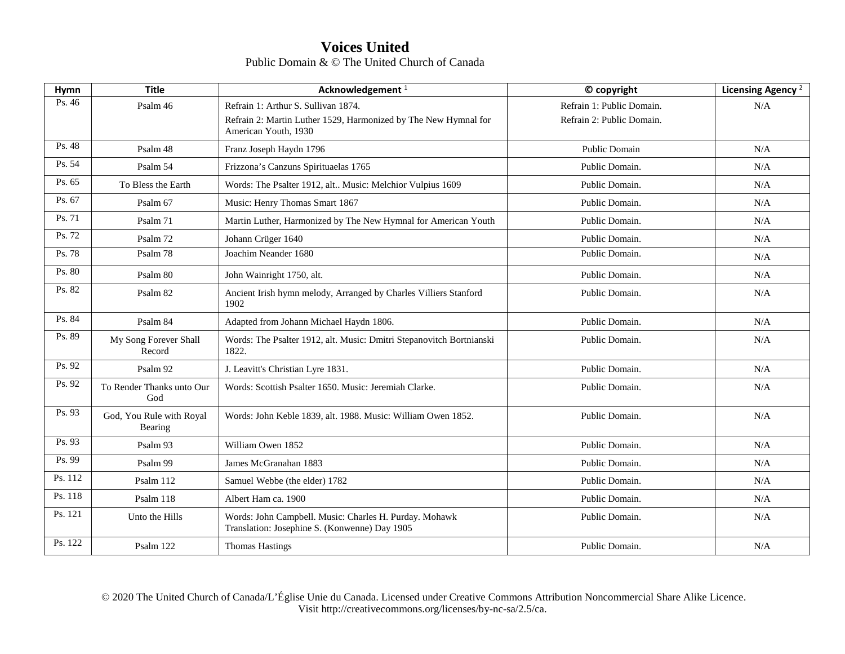| Hymn    | <b>Title</b>                        | Acknowledgement <sup>1</sup>                                                                            | © copyright               | Licensing Agency <sup>2</sup> |
|---------|-------------------------------------|---------------------------------------------------------------------------------------------------------|---------------------------|-------------------------------|
| Ps. 46  | Psalm 46                            | Refrain 1: Arthur S. Sullivan 1874.                                                                     | Refrain 1: Public Domain. | N/A                           |
|         |                                     | Refrain 2: Martin Luther 1529, Harmonized by The New Hymnal for<br>American Youth, 1930                 | Refrain 2: Public Domain. |                               |
| Ps. 48  | Psalm 48                            | Franz Joseph Haydn 1796                                                                                 | Public Domain             | N/A                           |
| Ps. 54  | Psalm 54                            | Frizzona's Canzuns Spirituaelas 1765                                                                    | Public Domain.            | N/A                           |
| Ps. 65  | To Bless the Earth                  | Words: The Psalter 1912, alt Music: Melchior Vulpius 1609                                               | Public Domain.            | N/A                           |
| Ps. 67  | Psalm 67                            | Music: Henry Thomas Smart 1867                                                                          | Public Domain.            | N/A                           |
| Ps. 71  | Psalm 71                            | Martin Luther, Harmonized by The New Hymnal for American Youth                                          | Public Domain.            | N/A                           |
| Ps. 72  | Psalm 72                            | Johann Crüger 1640                                                                                      | Public Domain.            | N/A                           |
| Ps. 78  | Psalm 78                            | Joachim Neander 1680                                                                                    | Public Domain.            | N/A                           |
| Ps. 80  | Psalm 80                            | John Wainright 1750, alt.                                                                               | Public Domain.            | N/A                           |
| Ps. 82  | Psalm 82                            | Ancient Irish hymn melody, Arranged by Charles Villiers Stanford<br>1902                                | Public Domain.            | N/A                           |
| Ps. 84  | Psalm 84                            | Adapted from Johann Michael Haydn 1806.                                                                 | Public Domain.            | N/A                           |
| Ps. 89  | My Song Forever Shall<br>Record     | Words: The Psalter 1912, alt. Music: Dmitri Stepanovitch Bortnianski<br>1822.                           | Public Domain.            | N/A                           |
| Ps. 92  | Psalm 92                            | J. Leavitt's Christian Lyre 1831.                                                                       | Public Domain.            | N/A                           |
| Ps. 92  | To Render Thanks unto Our<br>God    | Words: Scottish Psalter 1650. Music: Jeremiah Clarke.                                                   | Public Domain.            | N/A                           |
| Ps. 93  | God, You Rule with Royal<br>Bearing | Words: John Keble 1839, alt. 1988. Music: William Owen 1852.                                            | Public Domain.            | N/A                           |
| Ps. 93  | Psalm 93                            | William Owen 1852                                                                                       | Public Domain.            | N/A                           |
| Ps. 99  | Psalm 99                            | James McGranahan 1883                                                                                   | Public Domain.            | N/A                           |
| Ps. 112 | Psalm 112                           | Samuel Webbe (the elder) 1782                                                                           | Public Domain.            | N/A                           |
| Ps. 118 | Psalm 118                           | Albert Ham ca. 1900                                                                                     | Public Domain.            | N/A                           |
| Ps. 121 | Unto the Hills                      | Words: John Campbell. Music: Charles H. Purday. Mohawk<br>Translation: Josephine S. (Konwenne) Day 1905 | Public Domain.            | N/A                           |
| Ps. 122 | Psalm 122                           | <b>Thomas Hastings</b>                                                                                  | Public Domain.            | N/A                           |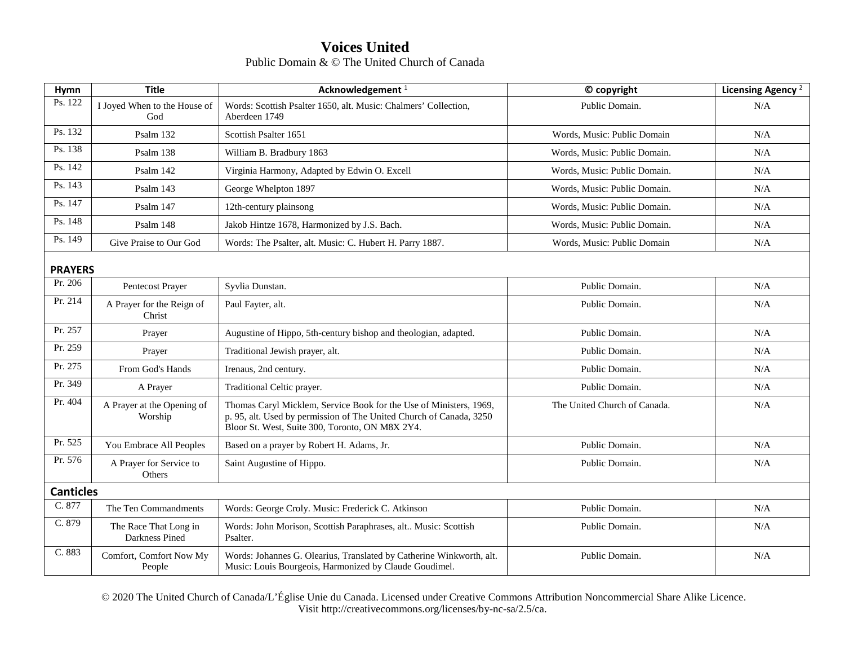| Hymn           | <b>Title</b>                            | Acknowledgement <sup>1</sup>                                                                                                                                                                 | © copyright                  | Licensing Agency <sup>2</sup> |  |  |
|----------------|-----------------------------------------|----------------------------------------------------------------------------------------------------------------------------------------------------------------------------------------------|------------------------------|-------------------------------|--|--|
| Ps. 122        | I Joyed When to the House of<br>God     | Words: Scottish Psalter 1650, alt. Music: Chalmers' Collection,<br>Aberdeen 1749                                                                                                             | Public Domain.               | N/A                           |  |  |
| Ps. 132        | Psalm 132                               | Scottish Psalter 1651                                                                                                                                                                        | Words, Music: Public Domain  | N/A                           |  |  |
| Ps. 138        | Psalm 138                               | William B. Bradbury 1863                                                                                                                                                                     | Words, Music: Public Domain. | N/A                           |  |  |
| Ps. 142        | Psalm 142                               | Virginia Harmony, Adapted by Edwin O. Excell                                                                                                                                                 | Words, Music: Public Domain. | N/A                           |  |  |
| Ps. 143        | Psalm 143                               | George Whelpton 1897                                                                                                                                                                         | Words, Music: Public Domain. | N/A                           |  |  |
| Ps. 147        | Psalm 147                               | 12th-century plainsong                                                                                                                                                                       | Words, Music: Public Domain. | N/A                           |  |  |
| Ps. 148        | Psalm 148                               | Jakob Hintze 1678, Harmonized by J.S. Bach.                                                                                                                                                  | Words, Music: Public Domain. | N/A                           |  |  |
| Ps. 149        | Give Praise to Our God                  | Words: The Psalter, alt. Music: C. Hubert H. Parry 1887.                                                                                                                                     | Words, Music: Public Domain  | N/A                           |  |  |
| <b>PRAYERS</b> |                                         |                                                                                                                                                                                              |                              |                               |  |  |
| Pr. 206        | Pentecost Prayer                        | Syvlia Dunstan.                                                                                                                                                                              | Public Domain.               | N/A                           |  |  |
| Pr. 214        | A Prayer for the Reign of<br>Christ     | Paul Fayter, alt.                                                                                                                                                                            | Public Domain.               | N/A                           |  |  |
| Pr. 257        | Prayer                                  | Augustine of Hippo, 5th-century bishop and theologian, adapted.                                                                                                                              | Public Domain.               | N/A                           |  |  |
| Pr. 259        | Prayer                                  | Traditional Jewish prayer, alt.                                                                                                                                                              | Public Domain.               | N/A                           |  |  |
| Pr. 275        | From God's Hands                        | Irenaus, 2nd century.                                                                                                                                                                        | Public Domain.               | N/A                           |  |  |
| Pr. 349        | A Prayer                                | Traditional Celtic prayer.                                                                                                                                                                   | Public Domain.               | N/A                           |  |  |
| Pr. 404        | A Prayer at the Opening of<br>Worship   | Thomas Caryl Micklem, Service Book for the Use of Ministers, 1969,<br>p. 95, alt. Used by permission of The United Church of Canada, 3250<br>Bloor St. West, Suite 300, Toronto, ON M8X 2Y4. | The United Church of Canada. | N/A                           |  |  |
| Pr. 525        | You Embrace All Peoples                 | Based on a prayer by Robert H. Adams, Jr.                                                                                                                                                    | Public Domain.               | N/A                           |  |  |
| Pr. 576        | A Prayer for Service to<br>Others       | Saint Augustine of Hippo.                                                                                                                                                                    | Public Domain.               | N/A                           |  |  |
|                | <b>Canticles</b>                        |                                                                                                                                                                                              |                              |                               |  |  |
| C. 877         | The Ten Commandments                    | Words: George Croly. Music: Frederick C. Atkinson                                                                                                                                            | Public Domain.               | N/A                           |  |  |
| C. 879         | The Race That Long in<br>Darkness Pined | Words: John Morison, Scottish Paraphrases, alt Music: Scottish<br>Psalter.                                                                                                                   | Public Domain.               | N/A                           |  |  |
| C. 883         | Comfort, Comfort Now My<br>People       | Words: Johannes G. Olearius, Translated by Catherine Winkworth, alt.<br>Music: Louis Bourgeois, Harmonized by Claude Goudimel.                                                               | Public Domain.               | N/A                           |  |  |